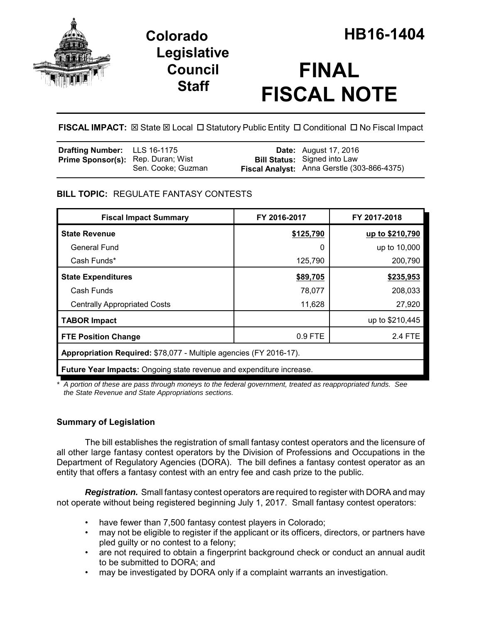

## **Legislative Council Staff**

# **FINAL FISCAL NOTE**

**FISCAL IMPACT:** ⊠ State ⊠ Local □ Statutory Public Entity □ Conditional □ No Fiscal Impact

| <b>Drafting Number:</b> LLS 16-1175       |                    | <b>Date:</b> August 17, 2016                                                       |
|-------------------------------------------|--------------------|------------------------------------------------------------------------------------|
| <b>Prime Sponsor(s):</b> Rep. Duran; Wist | Sen. Cooke; Guzman | <b>Bill Status:</b> Signed into Law<br>Fiscal Analyst: Anna Gerstle (303-866-4375) |

## **BILL TOPIC:** REGULATE FANTASY CONTESTS

| <b>Fiscal Impact Summary</b>                                                | FY 2016-2017 | FY 2017-2018    |  |  |
|-----------------------------------------------------------------------------|--------------|-----------------|--|--|
| <b>State Revenue</b>                                                        | \$125,790    | up to \$210,790 |  |  |
| <b>General Fund</b>                                                         | 0            | up to 10,000    |  |  |
| Cash Funds*                                                                 | 125,790      | 200,790         |  |  |
| <b>State Expenditures</b>                                                   | \$89,705     | \$235,953       |  |  |
| Cash Funds                                                                  | 78,077       | 208,033         |  |  |
| <b>Centrally Appropriated Costs</b>                                         | 11,628       | 27,920          |  |  |
| <b>TABOR Impact</b>                                                         |              | up to \$210,445 |  |  |
| <b>FTE Position Change</b>                                                  | 0.9 FTE      | 2.4 FTE         |  |  |
| Appropriation Required: \$78,077 - Multiple agencies (FY 2016-17).          |              |                 |  |  |
| <b>Future Year Impacts:</b> Ongoing state revenue and expenditure increase. |              |                 |  |  |

*\* A portion of these are pass through moneys to the federal government, treated as reappropriated funds. See the State Revenue and State Appropriations sections.*

## **Summary of Legislation**

The bill establishes the registration of small fantasy contest operators and the licensure of all other large fantasy contest operators by the Division of Professions and Occupations in the Department of Regulatory Agencies (DORA). The bill defines a fantasy contest operator as an entity that offers a fantasy contest with an entry fee and cash prize to the public.

*Registration.* Small fantasy contest operators are required to register with DORA and may not operate without being registered beginning July 1, 2017. Small fantasy contest operators:

- have fewer than 7,500 fantasy contest players in Colorado;
- may not be eligible to register if the applicant or its officers, directors, or partners have pled guilty or no contest to a felony;
- are not required to obtain a fingerprint background check or conduct an annual audit to be submitted to DORA; and
- may be investigated by DORA only if a complaint warrants an investigation.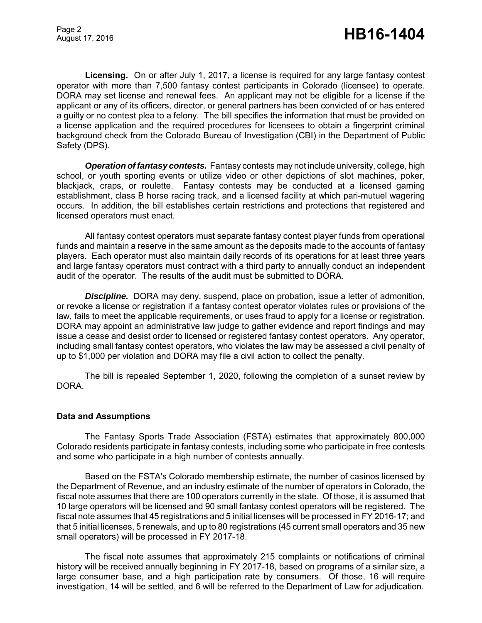**Licensing.** On or after July 1, 2017, a license is required for any large fantasy contest operator with more than 7,500 fantasy contest participants in Colorado (licensee) to operate. DORA may set license and renewal fees. An applicant may not be eligible for a license if the applicant or any of its officers, director, or general partners has been convicted of or has entered a guilty or no contest plea to a felony. The bill specifies the information that must be provided on a license application and the required procedures for licensees to obtain a fingerprint criminal background check from the Colorado Bureau of Investigation (CBI) in the Department of Public Safety (DPS).

*Operation of fantasy contests.* Fantasy contests may not include university, college, high school, or youth sporting events or utilize video or other depictions of slot machines, poker, blackjack, craps, or roulette. Fantasy contests may be conducted at a licensed gaming establishment, class B horse racing track, and a licensed facility at which pari-mutuel wagering occurs. In addition, the bill establishes certain restrictions and protections that registered and licensed operators must enact.

All fantasy contest operators must separate fantasy contest player funds from operational funds and maintain a reserve in the same amount as the deposits made to the accounts of fantasy players. Each operator must also maintain daily records of its operations for at least three years and large fantasy operators must contract with a third party to annually conduct an independent audit of the operator. The results of the audit must be submitted to DORA.

**Discipline.** DORA may deny, suspend, place on probation, issue a letter of admonition, or revoke a license or registration if a fantasy contest operator violates rules or provisions of the law, fails to meet the applicable requirements, or uses fraud to apply for a license or registration. DORA may appoint an administrative law judge to gather evidence and report findings and may issue a cease and desist order to licensed or registered fantasy contest operators. Any operator, including small fantasy contest operators, who violates the law may be assessed a civil penalty of up to \$1,000 per violation and DORA may file a civil action to collect the penalty.

The bill is repealed September 1, 2020, following the completion of a sunset review by DORA.

#### **Data and Assumptions**

The Fantasy Sports Trade Association (FSTA) estimates that approximately 800,000 Colorado residents participate in fantasy contests, including some who participate in free contests and some who participate in a high number of contests annually.

Based on the FSTA's Colorado membership estimate, the number of casinos licensed by the Department of Revenue, and an industry estimate of the number of operators in Colorado, the fiscal note assumes that there are 100 operators currently in the state. Of those, it is assumed that 10 large operators will be licensed and 90 small fantasy contest operators will be registered. The fiscal note assumes that 45 registrations and 5 initial licenses will be processed in FY 2016-17; and that 5 initial licenses, 5 renewals, and up to 80 registrations (45 current small operators and 35 new small operators) will be processed in FY 2017-18.

The fiscal note assumes that approximately 215 complaints or notifications of criminal history will be received annually beginning in FY 2017-18, based on programs of a similar size, a large consumer base, and a high participation rate by consumers. Of those, 16 will require investigation, 14 will be settled, and 6 will be referred to the Department of Law for adjudication.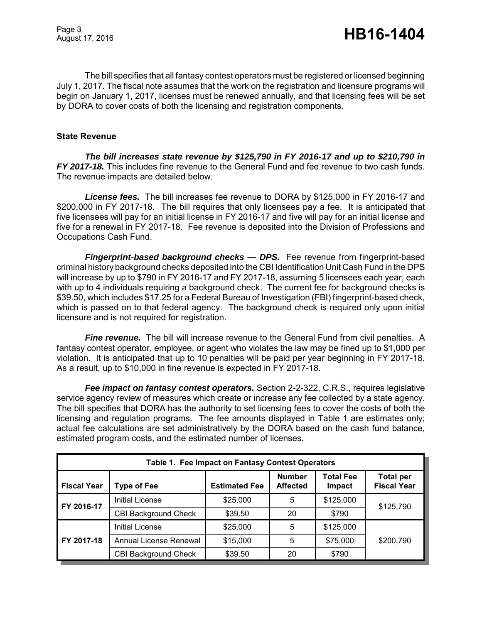The bill specifies that all fantasy contest operators must be registered or licensed beginning July 1, 2017. The fiscal note assumes that the work on the registration and licensure programs will begin on January 1, 2017, licenses must be renewed annually, and that licensing fees will be set by DORA to cover costs of both the licensing and registration components.

#### **State Revenue**

*The bill increases state revenue by \$125,790 in FY 2016-17 and up to \$210,790 in FY 2017-18.* This includes fine revenue to the General Fund and fee revenue to two cash funds. The revenue impacts are detailed below.

*License fees.* The bill increases fee revenue to DORA by \$125,000 in FY 2016-17 and \$200,000 in FY 2017-18. The bill requires that only licensees pay a fee. It is anticipated that five licensees will pay for an initial license in FY 2016-17 and five will pay for an initial license and five for a renewal in FY 2017-18. Fee revenue is deposited into the Division of Professions and Occupations Cash Fund.

*Fingerprint-based background checks — DPS.* Fee revenue from fingerprint-based criminal history background checks deposited into the CBI Identification Unit Cash Fund in the DPS will increase by up to \$790 in FY 2016-17 and FY 2017-18, assuming 5 licensees each year, each with up to 4 individuals requiring a background check. The current fee for background checks is \$39.50, which includes \$17.25 for a Federal Bureau of Investigation (FBI) fingerprint-based check, which is passed on to that federal agency. The background check is required only upon initial licensure and is not required for registration.

*Fine revenue.* The bill will increase revenue to the General Fund from civil penalties. A fantasy contest operator, employee, or agent who violates the law may be fined up to \$1,000 per violation. It is anticipated that up to 10 penalties will be paid per year beginning in FY 2017-18. As a result, up to \$10,000 in fine revenue is expected in FY 2017-18.

**Fee impact on fantasy contest operators.** Section 2-2-322, C.R.S., requires legislative service agency review of measures which create or increase any fee collected by a state agency. The bill specifies that DORA has the authority to set licensing fees to cover the costs of both the licensing and regulation programs. The fee amounts displayed in Table 1 are estimates only; actual fee calculations are set administratively by the DORA based on the cash fund balance, estimated program costs, and the estimated number of licenses.

| Table 1. Fee Impact on Fantasy Contest Operators |                             |                      |                                  |                            |                                        |
|--------------------------------------------------|-----------------------------|----------------------|----------------------------------|----------------------------|----------------------------------------|
| <b>Fiscal Year</b>                               | <b>Type of Fee</b>          | <b>Estimated Fee</b> | <b>Number</b><br><b>Affected</b> | <b>Total Fee</b><br>Impact | <b>Total per</b><br><b>Fiscal Year</b> |
| FY 2016-17                                       | <b>Initial License</b>      | \$25,000             | 5                                | \$125,000                  | \$125,790                              |
|                                                  | <b>CBI Background Check</b> | \$39.50              | 20                               | \$790                      |                                        |
| FY 2017-18                                       | Initial License             | \$25,000             | 5                                | \$125,000                  |                                        |
|                                                  | Annual License Renewal      | \$15,000             | 5                                | \$75,000                   | \$200,790                              |
|                                                  | <b>CBI Background Check</b> | \$39.50              | 20                               | \$790                      |                                        |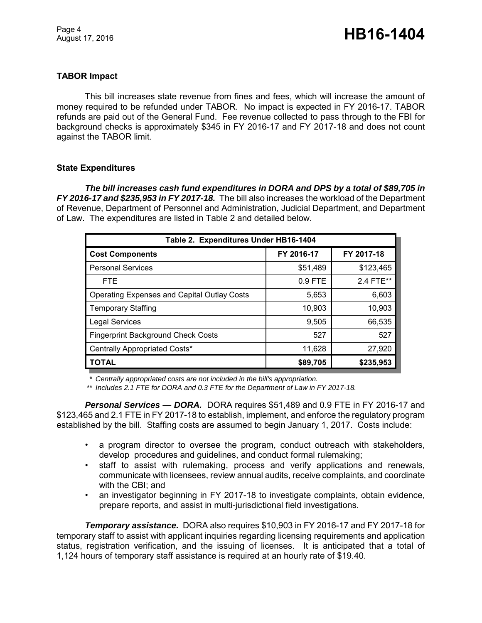## **TABOR Impact**

This bill increases state revenue from fines and fees, which will increase the amount of money required to be refunded under TABOR. No impact is expected in FY 2016-17. TABOR refunds are paid out of the General Fund. Fee revenue collected to pass through to the FBI for background checks is approximately \$345 in FY 2016-17 and FY 2017-18 and does not count against the TABOR limit.

#### **State Expenditures**

*The bill increases cash fund expenditures in DORA and DPS by a total of \$89,705 in FY 2016-17 and \$235,953 in FY 2017-18.* The bill also increases the workload of the Department of Revenue, Department of Personnel and Administration, Judicial Department, and Department of Law. The expenditures are listed in Table 2 and detailed below.

| Table 2. Expenditures Under HB16-1404              |            |            |  |  |  |
|----------------------------------------------------|------------|------------|--|--|--|
| <b>Cost Components</b>                             | FY 2016-17 | FY 2017-18 |  |  |  |
| <b>Personal Services</b>                           | \$51,489   | \$123,465  |  |  |  |
| <b>FTE</b>                                         | $0.9$ FTE  | 2.4 FTE**  |  |  |  |
| <b>Operating Expenses and Capital Outlay Costs</b> | 5,653      | 6,603      |  |  |  |
| <b>Temporary Staffing</b>                          | 10,903     | 10,903     |  |  |  |
| <b>Legal Services</b>                              | 9,505      | 66,535     |  |  |  |
| <b>Fingerprint Background Check Costs</b>          | 527        | 527        |  |  |  |
| Centrally Appropriated Costs*                      | 11,628     | 27,920     |  |  |  |
| <b>TOTAL</b>                                       | \$89,705   | \$235,953  |  |  |  |

*\* Centrally appropriated costs are not included in the bill's appropriation.*

*\*\* Includes 2.1 FTE for DORA and 0.3 FTE for the Department of Law in FY 2017-18.*

*Personal Services — DORA.* DORA requires \$51,489 and 0.9 FTE in FY 2016-17 and \$123,465 and 2.1 FTE in FY 2017-18 to establish, implement, and enforce the regulatory program established by the bill. Staffing costs are assumed to begin January 1, 2017. Costs include:

- a program director to oversee the program, conduct outreach with stakeholders, develop procedures and guidelines, and conduct formal rulemaking;
- staff to assist with rulemaking, process and verify applications and renewals, communicate with licensees, review annual audits, receive complaints, and coordinate with the CBI; and
- an investigator beginning in FY 2017-18 to investigate complaints, obtain evidence, prepare reports, and assist in multi-jurisdictional field investigations.

*Temporary assistance.* DORA also requires \$10,903 in FY 2016-17 and FY 2017-18 for temporary staff to assist with applicant inquiries regarding licensing requirements and application status, registration verification, and the issuing of licenses. It is anticipated that a total of 1,124 hours of temporary staff assistance is required at an hourly rate of \$19.40.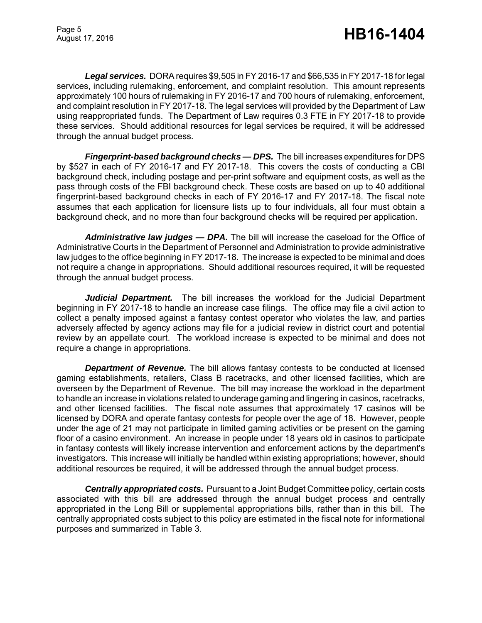*Legal services.* DORA requires \$9,505 in FY 2016-17 and \$66,535 in FY 2017-18 for legal services, including rulemaking, enforcement, and complaint resolution. This amount represents approximately 100 hours of rulemaking in FY 2016-17 and 700 hours of rulemaking, enforcement, and complaint resolution in FY 2017-18. The legal services will provided by the Department of Law using reappropriated funds. The Department of Law requires 0.3 FTE in FY 2017-18 to provide these services. Should additional resources for legal services be required, it will be addressed through the annual budget process.

*Fingerprint-based background checks — DPS.* The bill increases expenditures for DPS by \$527 in each of FY 2016-17 and FY 2017-18. This covers the costs of conducting a CBI background check, including postage and per-print software and equipment costs, as well as the pass through costs of the FBI background check. These costs are based on up to 40 additional fingerprint-based background checks in each of FY 2016-17 and FY 2017-18. The fiscal note assumes that each application for licensure lists up to four individuals, all four must obtain a background check, and no more than four background checks will be required per application.

*Administrative law judges — DPA.* The bill will increase the caseload for the Office of Administrative Courts in the Department of Personnel and Administration to provide administrative law judges to the office beginning in FY 2017-18. The increase is expected to be minimal and does not require a change in appropriations. Should additional resources required, it will be requested through the annual budget process.

Judicial Department. The bill increases the workload for the Judicial Department beginning in FY 2017-18 to handle an increase case filings. The office may file a civil action to collect a penalty imposed against a fantasy contest operator who violates the law, and parties adversely affected by agency actions may file for a judicial review in district court and potential review by an appellate court. The workload increase is expected to be minimal and does not require a change in appropriations.

*Department of Revenue.* The bill allows fantasy contests to be conducted at licensed gaming establishments, retailers, Class B racetracks, and other licensed facilities, which are overseen by the Department of Revenue. The bill may increase the workload in the department to handle an increase in violations related to underage gaming and lingering in casinos, racetracks, and other licensed facilities. The fiscal note assumes that approximately 17 casinos will be licensed by DORA and operate fantasy contests for people over the age of 18. However, people under the age of 21 may not participate in limited gaming activities or be present on the gaming floor of a casino environment. An increase in people under 18 years old in casinos to participate in fantasy contests will likely increase intervention and enforcement actions by the department's investigators. This increase will initially be handled within existing appropriations; however, should additional resources be required, it will be addressed through the annual budget process.

*Centrally appropriated costs.* Pursuant to a Joint Budget Committee policy, certain costs associated with this bill are addressed through the annual budget process and centrally appropriated in the Long Bill or supplemental appropriations bills, rather than in this bill. The centrally appropriated costs subject to this policy are estimated in the fiscal note for informational purposes and summarized in Table 3.